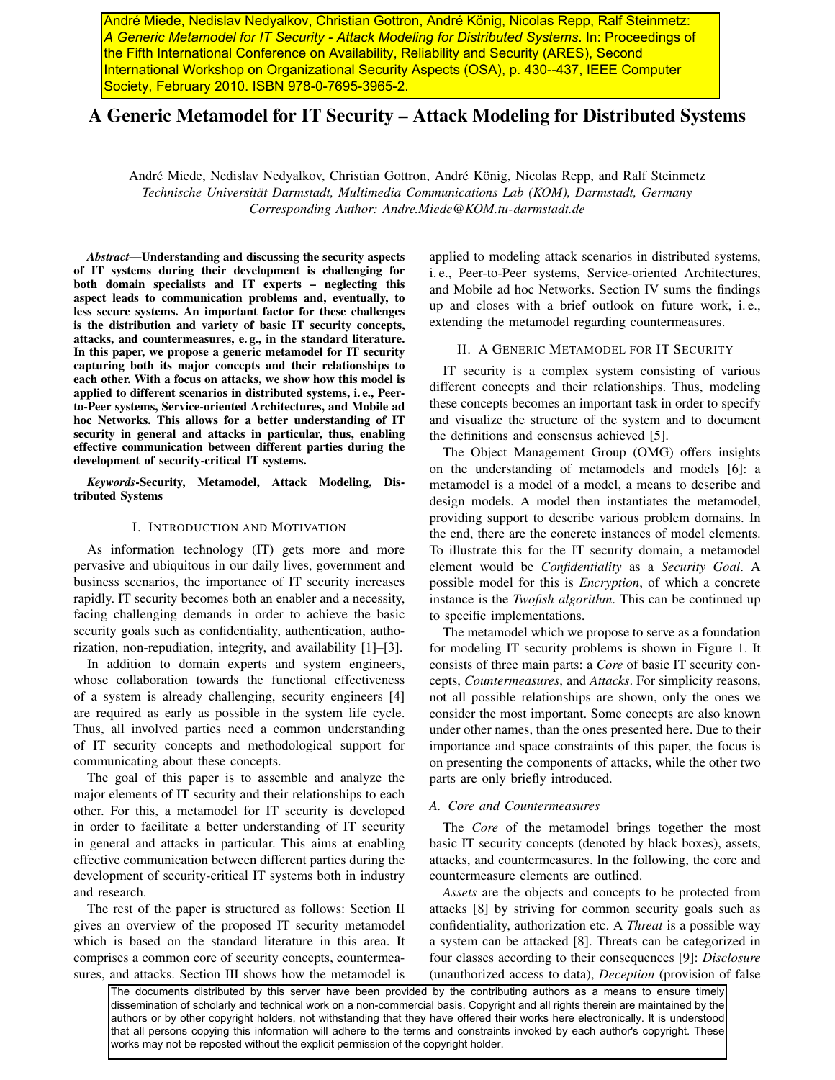André Miede, Nedislav Nedyalkov, Christian Gottron, André König, Nicolas Repp, Ralf Steinmetz: *A Generic Metamodel for IT Security - Attack Modeling for Distributed Systems*. In: Proceedings of the Fifth International Conference on Availability, Reliability and Security (ARES), Second International Workshop on Organizational Security Aspects (OSA), p. 430--437, IEEE Computer Society, February 2010. ISBN 978-0-7695-3965-2.

# A Generic Metamodel for IT Security – Attack Modeling for Distributed Systems

André Miede, Nedislav Nedyalkov, Christian Gottron, André König, Nicolas Repp, and Ralf Steinmetz *Technische Universitat Darmstadt, Multimedia Communications Lab (KOM), Darmstadt, Germany ¨ Corresponding Author: Andre.Miede@KOM.tu-darmstadt.de*

*Abstract*—Understanding and discussing the security aspects of IT systems during their development is challenging for both domain specialists and IT experts – neglecting this aspect leads to communication problems and, eventually, to less secure systems. An important factor for these challenges is the distribution and variety of basic IT security concepts, attacks, and countermeasures, e. g., in the standard literature. In this paper, we propose a generic metamodel for IT security capturing both its major concepts and their relationships to each other. With a focus on attacks, we show how this model is applied to different scenarios in distributed systems, i. e., Peerto-Peer systems, Service-oriented Architectures, and Mobile ad hoc Networks. This allows for a better understanding of IT security in general and attacks in particular, thus, enabling effective communication between different parties during the development of security-critical IT systems.

*Keywords*-Security, Metamodel, Attack Modeling, Distributed Systems

#### I. INTRODUCTION AND MOTIVATION

As information technology (IT) gets more and more pervasive and ubiquitous in our daily lives, government and business scenarios, the importance of IT security increases rapidly. IT security becomes both an enabler and a necessity, facing challenging demands in order to achieve the basic security goals such as confidentiality, authentication, authorization, non-repudiation, integrity, and availability [1]–[3].

In addition to domain experts and system engineers, whose collaboration towards the functional effectiveness of a system is already challenging, security engineers [4] are required as early as possible in the system life cycle. Thus, all involved parties need a common understanding of IT security concepts and methodological support for communicating about these concepts.

The goal of this paper is to assemble and analyze the major elements of IT security and their relationships to each other. For this, a metamodel for IT security is developed in order to facilitate a better understanding of IT security in general and attacks in particular. This aims at enabling effective communication between different parties during the development of security-critical IT systems both in industry and research.

The rest of the paper is structured as follows: Section II gives an overview of the proposed IT security metamodel which is based on the standard literature in this area. It comprises a common core of security concepts, countermeasures, and attacks. Section III shows how the metamodel is applied to modeling attack scenarios in distributed systems, i. e., Peer-to-Peer systems, Service-oriented Architectures, and Mobile ad hoc Networks. Section IV sums the findings up and closes with a brief outlook on future work, i. e., extending the metamodel regarding countermeasures.

## II. A GENERIC METAMODEL FOR IT SECURITY

IT security is a complex system consisting of various different concepts and their relationships. Thus, modeling these concepts becomes an important task in order to specify and visualize the structure of the system and to document the definitions and consensus achieved [5].

The Object Management Group (OMG) offers insights on the understanding of metamodels and models [6]: a metamodel is a model of a model, a means to describe and design models. A model then instantiates the metamodel, providing support to describe various problem domains. In the end, there are the concrete instances of model elements. To illustrate this for the IT security domain, a metamodel element would be *Confidentiality* as a *Security Goal*. A possible model for this is *Encryption*, of which a concrete instance is the *Twofish algorithm*. This can be continued up to specific implementations.

The metamodel which we propose to serve as a foundation for modeling IT security problems is shown in Figure 1. It consists of three main parts: a *Core* of basic IT security concepts, *Countermeasures*, and *Attacks*. For simplicity reasons, not all possible relationships are shown, only the ones we consider the most important. Some concepts are also known under other names, than the ones presented here. Due to their importance and space constraints of this paper, the focus is on presenting the components of attacks, while the other two parts are only briefly introduced.

#### *A. Core and Countermeasures*

The *Core* of the metamodel brings together the most basic IT security concepts (denoted by black boxes), assets, attacks, and countermeasures. In the following, the core and countermeasure elements are outlined.

*Assets* are the objects and concepts to be protected from attacks [8] by striving for common security goals such as confidentiality, authorization etc. A *Threat* is a possible way a system can be attacked [8]. Threats can be categorized in four classes according to their consequences [9]: *Disclosure* (unauthorized access to data), *Deception* (provision of false

The documents distributed by this server have been provided by the contributing authors as a means to ensure timely dissemination of scholarly and technical work on a non-commercial basis. Copyright and all rights therein are maintained by the authors or by other copyright holders, not withstanding that they have offered their works here electronically. It is understood that all persons copying this information will adhere to the terms and constraints invoked by each author's copyright. These works may not be reposted without the explicit permission of the copyright holder.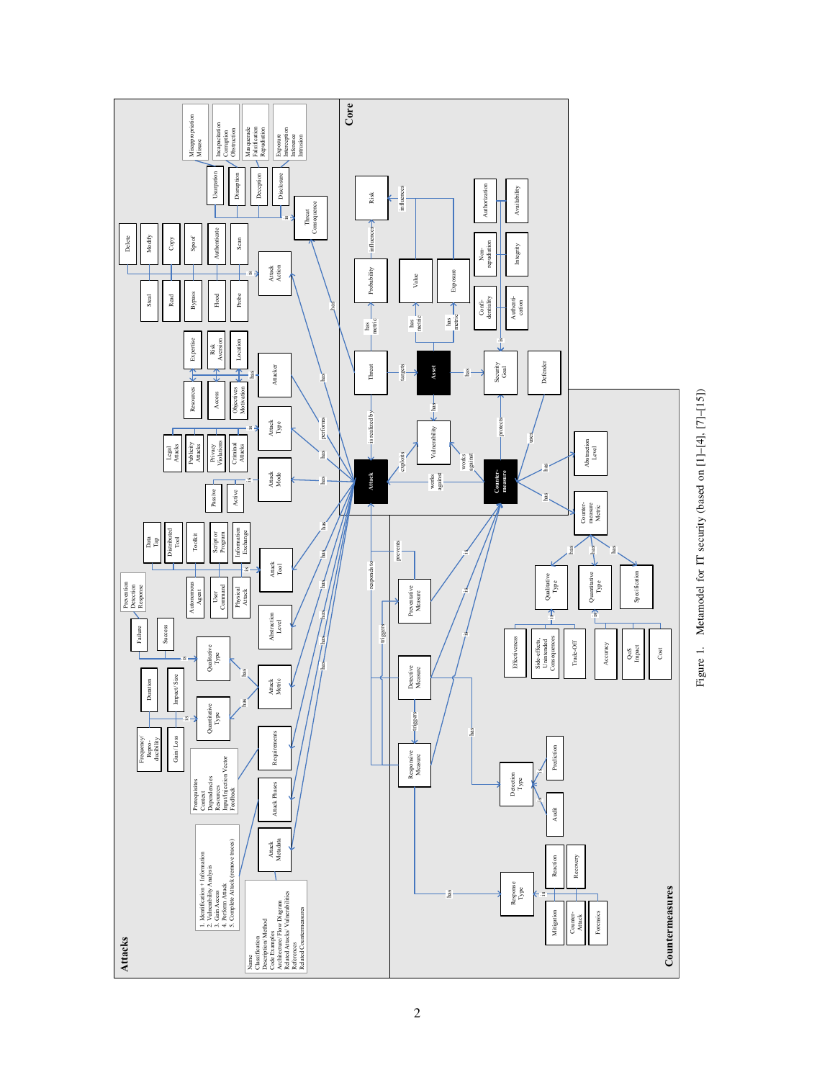

Figure 1. Metamodel for IT security (based on [1]-[4], [7]-[15]) Figure 1. Metamodel for IT security (based on [1]–[4], [7]–[15])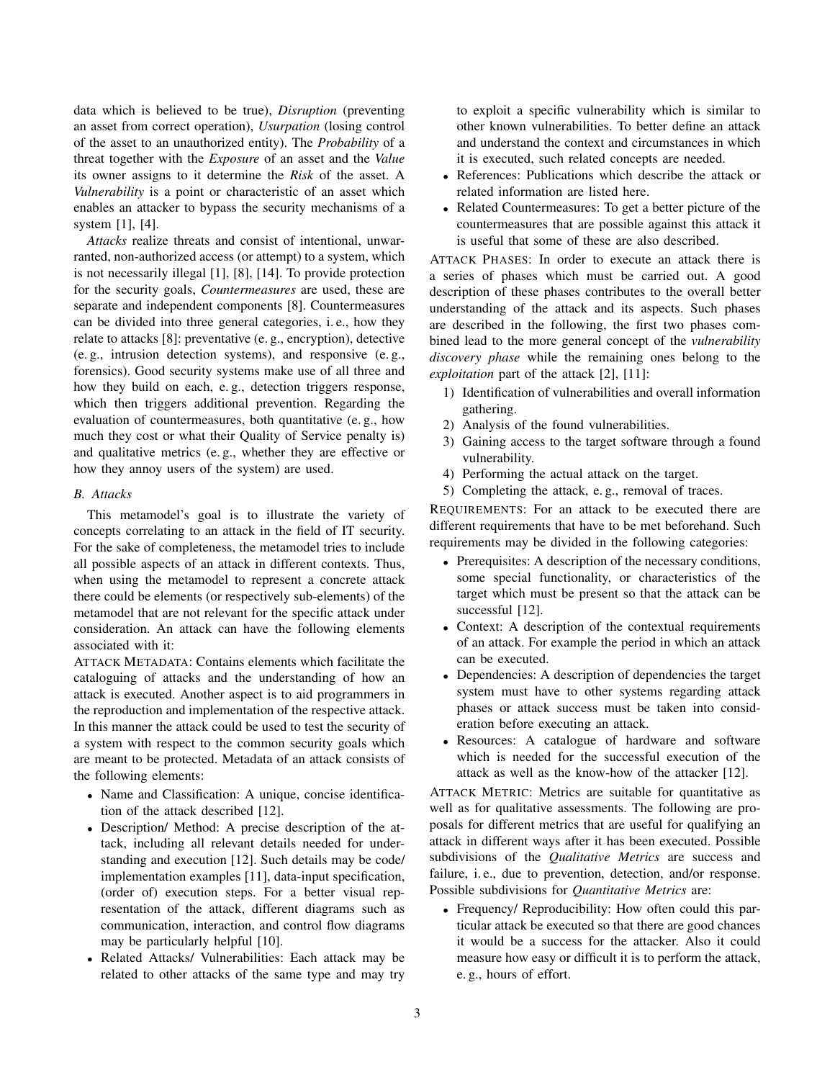data which is believed to be true), *Disruption* (preventing an asset from correct operation), *Usurpation* (losing control of the asset to an unauthorized entity). The *Probability* of a threat together with the *Exposure* of an asset and the *Value* its owner assigns to it determine the *Risk* of the asset. A *Vulnerability* is a point or characteristic of an asset which enables an attacker to bypass the security mechanisms of a system [1], [4].

*Attacks* realize threats and consist of intentional, unwarranted, non-authorized access (or attempt) to a system, which is not necessarily illegal [1], [8], [14]. To provide protection for the security goals, *Countermeasures* are used, these are separate and independent components [8]. Countermeasures can be divided into three general categories, i. e., how they relate to attacks [8]: preventative (e. g., encryption), detective (e. g., intrusion detection systems), and responsive (e. g., forensics). Good security systems make use of all three and how they build on each, e. g., detection triggers response, which then triggers additional prevention. Regarding the evaluation of countermeasures, both quantitative (e. g., how much they cost or what their Quality of Service penalty is) and qualitative metrics (e. g., whether they are effective or how they annoy users of the system) are used.

## *B. Attacks*

This metamodel's goal is to illustrate the variety of concepts correlating to an attack in the field of IT security. For the sake of completeness, the metamodel tries to include all possible aspects of an attack in different contexts. Thus, when using the metamodel to represent a concrete attack there could be elements (or respectively sub-elements) of the metamodel that are not relevant for the specific attack under consideration. An attack can have the following elements associated with it:

ATTACK METADATA: Contains elements which facilitate the cataloguing of attacks and the understanding of how an attack is executed. Another aspect is to aid programmers in the reproduction and implementation of the respective attack. In this manner the attack could be used to test the security of a system with respect to the common security goals which are meant to be protected. Metadata of an attack consists of the following elements:

- Name and Classification: A unique, concise identification of the attack described [12].
- Description/ Method: A precise description of the attack, including all relevant details needed for understanding and execution [12]. Such details may be code/ implementation examples [11], data-input specification, (order of) execution steps. For a better visual representation of the attack, different diagrams such as communication, interaction, and control flow diagrams may be particularly helpful [10].
- Related Attacks/ Vulnerabilities: Each attack may be related to other attacks of the same type and may try

to exploit a specific vulnerability which is similar to other known vulnerabilities. To better define an attack and understand the context and circumstances in which it is executed, such related concepts are needed.

- References: Publications which describe the attack or related information are listed here.
- Related Countermeasures: To get a better picture of the countermeasures that are possible against this attack it is useful that some of these are also described.

ATTACK PHASES: In order to execute an attack there is a series of phases which must be carried out. A good description of these phases contributes to the overall better understanding of the attack and its aspects. Such phases are described in the following, the first two phases combined lead to the more general concept of the *vulnerability discovery phase* while the remaining ones belong to the *exploitation* part of the attack [2], [11]:

- 1) Identification of vulnerabilities and overall information gathering.
- 2) Analysis of the found vulnerabilities.
- 3) Gaining access to the target software through a found vulnerability.
- 4) Performing the actual attack on the target.
- 5) Completing the attack, e. g., removal of traces.

REQUIREMENTS: For an attack to be executed there are different requirements that have to be met beforehand. Such requirements may be divided in the following categories:

- Prerequisites: A description of the necessary conditions, some special functionality, or characteristics of the target which must be present so that the attack can be successful [12].
- Context: A description of the contextual requirements of an attack. For example the period in which an attack can be executed.
- Dependencies: A description of dependencies the target system must have to other systems regarding attack phases or attack success must be taken into consideration before executing an attack.
- Resources: A catalogue of hardware and software which is needed for the successful execution of the attack as well as the know-how of the attacker [12].

ATTACK METRIC: Metrics are suitable for quantitative as well as for qualitative assessments. The following are proposals for different metrics that are useful for qualifying an attack in different ways after it has been executed. Possible subdivisions of the *Qualitative Metrics* are success and failure, i.e., due to prevention, detection, and/or response. Possible subdivisions for *Quantitative Metrics* are:

• Frequency/ Reproducibility: How often could this particular attack be executed so that there are good chances it would be a success for the attacker. Also it could measure how easy or difficult it is to perform the attack, e. g., hours of effort.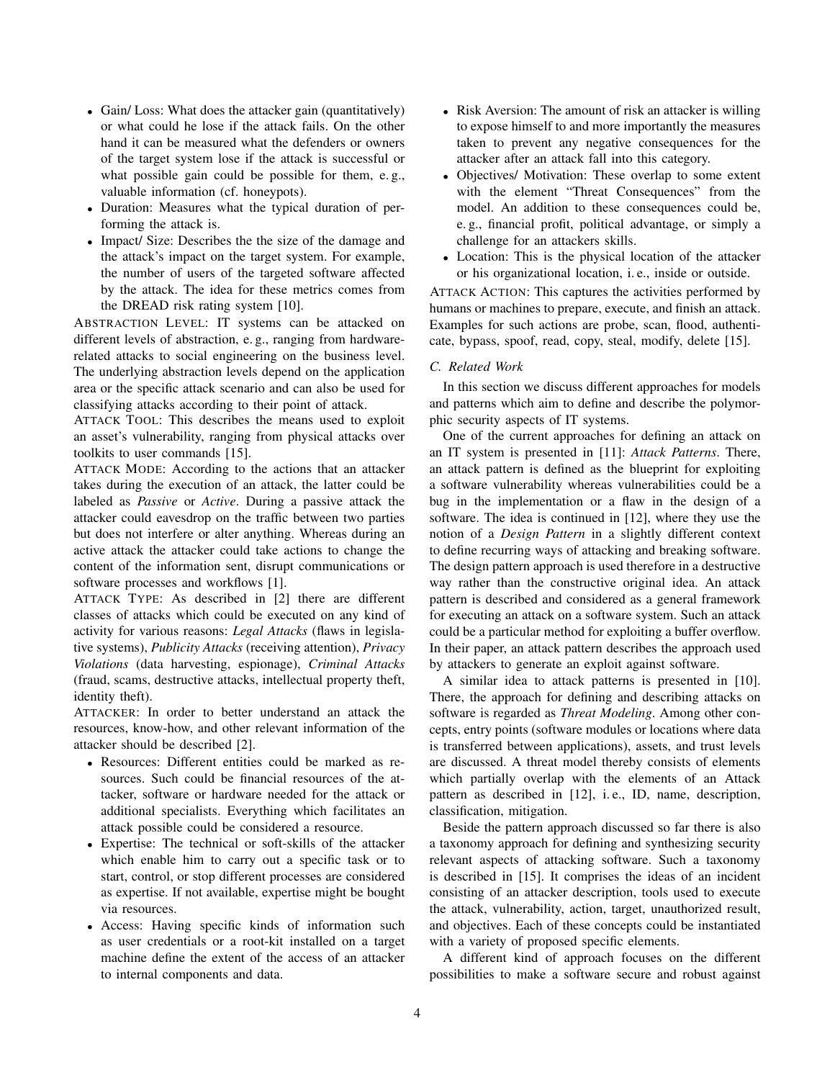- Gain/ Loss: What does the attacker gain (quantitatively) or what could he lose if the attack fails. On the other hand it can be measured what the defenders or owners of the target system lose if the attack is successful or what possible gain could be possible for them, e. g., valuable information (cf. honeypots).
- Duration: Measures what the typical duration of performing the attack is.
- Impact/ Size: Describes the the size of the damage and the attack's impact on the target system. For example, the number of users of the targeted software affected by the attack. The idea for these metrics comes from the DREAD risk rating system [10].

ABSTRACTION LEVEL: IT systems can be attacked on different levels of abstraction, e. g., ranging from hardwarerelated attacks to social engineering on the business level. The underlying abstraction levels depend on the application area or the specific attack scenario and can also be used for classifying attacks according to their point of attack.

ATTACK TOOL: This describes the means used to exploit an asset's vulnerability, ranging from physical attacks over toolkits to user commands [15].

ATTACK MODE: According to the actions that an attacker takes during the execution of an attack, the latter could be labeled as *Passive* or *Active*. During a passive attack the attacker could eavesdrop on the traffic between two parties but does not interfere or alter anything. Whereas during an active attack the attacker could take actions to change the content of the information sent, disrupt communications or software processes and workflows [1].

ATTACK TYPE: As described in [2] there are different classes of attacks which could be executed on any kind of activity for various reasons: *Legal Attacks* (flaws in legislative systems), *Publicity Attacks* (receiving attention), *Privacy Violations* (data harvesting, espionage), *Criminal Attacks* (fraud, scams, destructive attacks, intellectual property theft, identity theft).

ATTACKER: In order to better understand an attack the resources, know-how, and other relevant information of the attacker should be described [2].

- Resources: Different entities could be marked as resources. Such could be financial resources of the attacker, software or hardware needed for the attack or additional specialists. Everything which facilitates an attack possible could be considered a resource.
- Expertise: The technical or soft-skills of the attacker which enable him to carry out a specific task or to start, control, or stop different processes are considered as expertise. If not available, expertise might be bought via resources.
- Access: Having specific kinds of information such as user credentials or a root-kit installed on a target machine define the extent of the access of an attacker to internal components and data.
- Risk Aversion: The amount of risk an attacker is willing to expose himself to and more importantly the measures taken to prevent any negative consequences for the attacker after an attack fall into this category.
- Objectives/ Motivation: These overlap to some extent with the element "Threat Consequences" from the model. An addition to these consequences could be, e. g., financial profit, political advantage, or simply a challenge for an attackers skills.
- Location: This is the physical location of the attacker or his organizational location, i. e., inside or outside.

ATTACK ACTION: This captures the activities performed by humans or machines to prepare, execute, and finish an attack. Examples for such actions are probe, scan, flood, authenticate, bypass, spoof, read, copy, steal, modify, delete [15].

# *C. Related Work*

In this section we discuss different approaches for models and patterns which aim to define and describe the polymorphic security aspects of IT systems.

One of the current approaches for defining an attack on an IT system is presented in [11]: *Attack Patterns*. There, an attack pattern is defined as the blueprint for exploiting a software vulnerability whereas vulnerabilities could be a bug in the implementation or a flaw in the design of a software. The idea is continued in [12], where they use the notion of a *Design Pattern* in a slightly different context to define recurring ways of attacking and breaking software. The design pattern approach is used therefore in a destructive way rather than the constructive original idea. An attack pattern is described and considered as a general framework for executing an attack on a software system. Such an attack could be a particular method for exploiting a buffer overflow. In their paper, an attack pattern describes the approach used by attackers to generate an exploit against software.

A similar idea to attack patterns is presented in [10]. There, the approach for defining and describing attacks on software is regarded as *Threat Modeling*. Among other concepts, entry points (software modules or locations where data is transferred between applications), assets, and trust levels are discussed. A threat model thereby consists of elements which partially overlap with the elements of an Attack pattern as described in [12], i.e., ID, name, description, classification, mitigation.

Beside the pattern approach discussed so far there is also a taxonomy approach for defining and synthesizing security relevant aspects of attacking software. Such a taxonomy is described in [15]. It comprises the ideas of an incident consisting of an attacker description, tools used to execute the attack, vulnerability, action, target, unauthorized result, and objectives. Each of these concepts could be instantiated with a variety of proposed specific elements.

A different kind of approach focuses on the different possibilities to make a software secure and robust against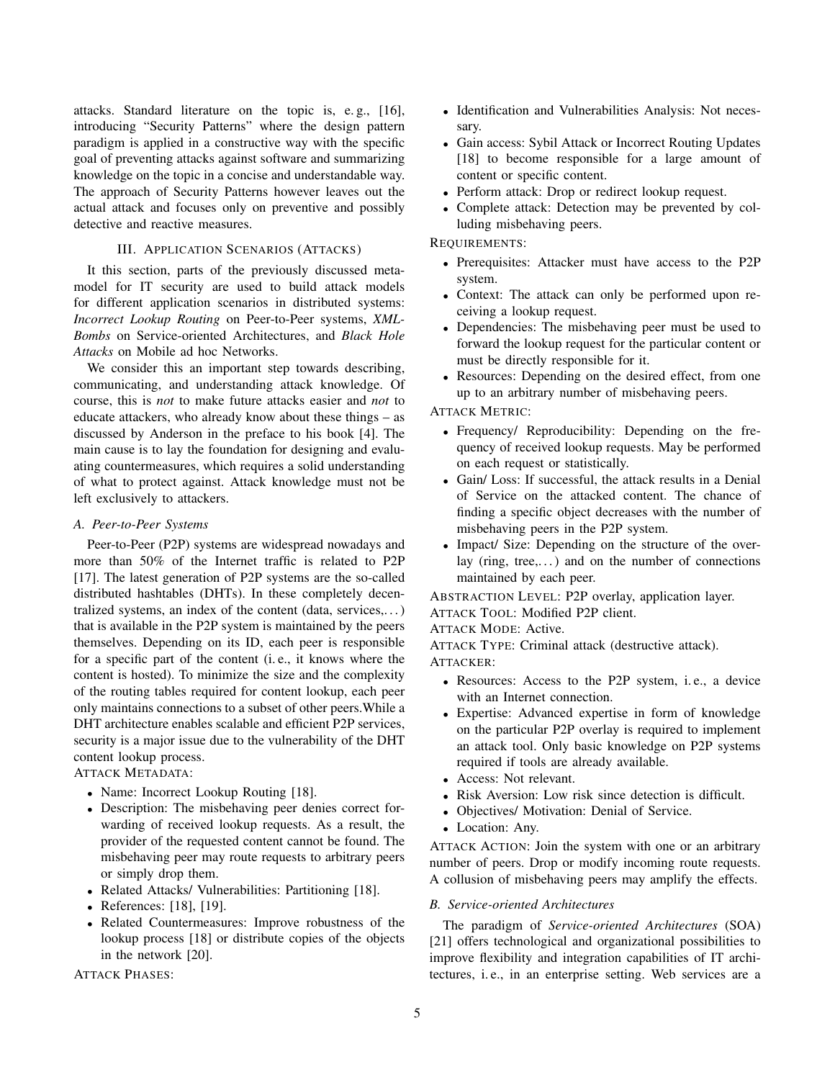attacks. Standard literature on the topic is, e. g., [16], introducing "Security Patterns" where the design pattern paradigm is applied in a constructive way with the specific goal of preventing attacks against software and summarizing knowledge on the topic in a concise and understandable way. The approach of Security Patterns however leaves out the actual attack and focuses only on preventive and possibly detective and reactive measures.

# III. APPLICATION SCENARIOS (ATTACKS)

It this section, parts of the previously discussed metamodel for IT security are used to build attack models for different application scenarios in distributed systems: *Incorrect Lookup Routing* on Peer-to-Peer systems, *XML-Bombs* on Service-oriented Architectures, and *Black Hole Attacks* on Mobile ad hoc Networks.

We consider this an important step towards describing, communicating, and understanding attack knowledge. Of course, this is *not* to make future attacks easier and *not* to educate attackers, who already know about these things – as discussed by Anderson in the preface to his book [4]. The main cause is to lay the foundation for designing and evaluating countermeasures, which requires a solid understanding of what to protect against. Attack knowledge must not be left exclusively to attackers.

## *A. Peer-to-Peer Systems*

Peer-to-Peer (P2P) systems are widespread nowadays and more than 50% of the Internet traffic is related to P2P [17]. The latest generation of P2P systems are the so-called distributed hashtables (DHTs). In these completely decentralized systems, an index of the content (data, services,. . . ) that is available in the P2P system is maintained by the peers themselves. Depending on its ID, each peer is responsible for a specific part of the content (i. e., it knows where the content is hosted). To minimize the size and the complexity of the routing tables required for content lookup, each peer only maintains connections to a subset of other peers.While a DHT architecture enables scalable and efficient P2P services, security is a major issue due to the vulnerability of the DHT content lookup process.

ATTACK METADATA:

- Name: Incorrect Lookup Routing [18].
- Description: The misbehaving peer denies correct forwarding of received lookup requests. As a result, the provider of the requested content cannot be found. The misbehaving peer may route requests to arbitrary peers or simply drop them.
- Related Attacks/ Vulnerabilities: Partitioning [18].
- References: [18], [19].
- Related Countermeasures: Improve robustness of the lookup process [18] or distribute copies of the objects in the network [20].

ATTACK PHASES:

- Identification and Vulnerabilities Analysis: Not necessary.
- Gain access: Sybil Attack or Incorrect Routing Updates [18] to become responsible for a large amount of content or specific content.
- Perform attack: Drop or redirect lookup request.
- Complete attack: Detection may be prevented by colluding misbehaving peers.

REQUIREMENTS:

- Prerequisites: Attacker must have access to the P2P system.
- Context: The attack can only be performed upon receiving a lookup request.
- Dependencies: The misbehaving peer must be used to forward the lookup request for the particular content or must be directly responsible for it.
- Resources: Depending on the desired effect, from one up to an arbitrary number of misbehaving peers.

## ATTACK METRIC:

- Frequency/ Reproducibility: Depending on the frequency of received lookup requests. May be performed on each request or statistically.
- Gain/ Loss: If successful, the attack results in a Denial of Service on the attacked content. The chance of finding a specific object decreases with the number of misbehaving peers in the P2P system.
- Impact/ Size: Depending on the structure of the overlay (ring, tree,...) and on the number of connections maintained by each peer.

ABSTRACTION LEVEL: P2P overlay, application layer.

ATTACK TOOL: Modified P2P client.

#### ATTACK MODE: Active.

ATTACK TYPE: Criminal attack (destructive attack). ATTACKER:

- Resources: Access to the P2P system, i. e., a device with an Internet connection.
- Expertise: Advanced expertise in form of knowledge on the particular P2P overlay is required to implement an attack tool. Only basic knowledge on P2P systems required if tools are already available.
- Access: Not relevant.
- Risk Aversion: Low risk since detection is difficult.
- Objectives/ Motivation: Denial of Service.
- Location: Any.

ATTACK ACTION: Join the system with one or an arbitrary number of peers. Drop or modify incoming route requests. A collusion of misbehaving peers may amplify the effects.

## *B. Service-oriented Architectures*

The paradigm of *Service-oriented Architectures* (SOA) [21] offers technological and organizational possibilities to improve flexibility and integration capabilities of IT architectures, i. e., in an enterprise setting. Web services are a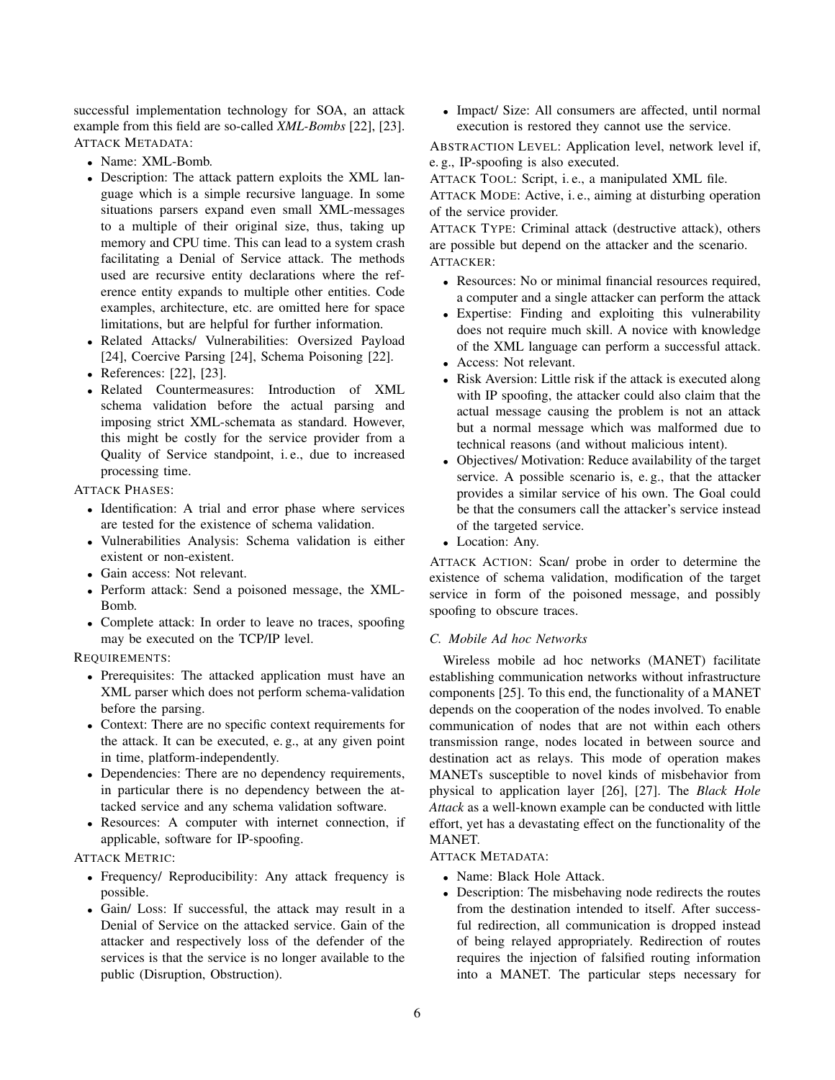successful implementation technology for SOA, an attack example from this field are so-called *XML-Bombs* [22], [23]. ATTACK METADATA:

- Name: XML-Bomb.
- Description: The attack pattern exploits the XML language which is a simple recursive language. In some situations parsers expand even small XML-messages to a multiple of their original size, thus, taking up memory and CPU time. This can lead to a system crash facilitating a Denial of Service attack. The methods used are recursive entity declarations where the reference entity expands to multiple other entities. Code examples, architecture, etc. are omitted here for space limitations, but are helpful for further information.
- Related Attacks/ Vulnerabilities: Oversized Payload [24], Coercive Parsing [24], Schema Poisoning [22].
- References: [22], [23].
- Related Countermeasures: Introduction of XML schema validation before the actual parsing and imposing strict XML-schemata as standard. However, this might be costly for the service provider from a Quality of Service standpoint, i. e., due to increased processing time.

ATTACK PHASES:

- Identification: A trial and error phase where services are tested for the existence of schema validation.
- Vulnerabilities Analysis: Schema validation is either existent or non-existent.
- Gain access: Not relevant.
- Perform attack: Send a poisoned message, the XML-Bomb.
- Complete attack: In order to leave no traces, spoofing may be executed on the TCP/IP level.

REQUIREMENTS:

- Prerequisites: The attacked application must have an XML parser which does not perform schema-validation before the parsing.
- Context: There are no specific context requirements for the attack. It can be executed, e. g., at any given point in time, platform-independently.
- Dependencies: There are no dependency requirements, in particular there is no dependency between the attacked service and any schema validation software.
- Resources: A computer with internet connection, if applicable, software for IP-spoofing.

ATTACK METRIC:

- Frequency/ Reproducibility: Any attack frequency is possible.
- Gain/ Loss: If successful, the attack may result in a Denial of Service on the attacked service. Gain of the attacker and respectively loss of the defender of the services is that the service is no longer available to the public (Disruption, Obstruction).

• Impact/ Size: All consumers are affected, until normal execution is restored they cannot use the service.

ABSTRACTION LEVEL: Application level, network level if, e. g., IP-spoofing is also executed.

ATTACK TOOL: Script, i. e., a manipulated XML file.

ATTACK MODE: Active, i. e., aiming at disturbing operation of the service provider.

ATTACK TYPE: Criminal attack (destructive attack), others are possible but depend on the attacker and the scenario. ATTACKER:

- Resources: No or minimal financial resources required, a computer and a single attacker can perform the attack
- Expertise: Finding and exploiting this vulnerability does not require much skill. A novice with knowledge of the XML language can perform a successful attack.
- Access: Not relevant.
- Risk Aversion: Little risk if the attack is executed along with IP spoofing, the attacker could also claim that the actual message causing the problem is not an attack but a normal message which was malformed due to technical reasons (and without malicious intent).
- Objectives/ Motivation: Reduce availability of the target service. A possible scenario is, e. g., that the attacker provides a similar service of his own. The Goal could be that the consumers call the attacker's service instead of the targeted service.
- Location: Any.

ATTACK ACTION: Scan/ probe in order to determine the existence of schema validation, modification of the target service in form of the poisoned message, and possibly spoofing to obscure traces.

# *C. Mobile Ad hoc Networks*

Wireless mobile ad hoc networks (MANET) facilitate establishing communication networks without infrastructure components [25]. To this end, the functionality of a MANET depends on the cooperation of the nodes involved. To enable communication of nodes that are not within each others transmission range, nodes located in between source and destination act as relays. This mode of operation makes MANETs susceptible to novel kinds of misbehavior from physical to application layer [26], [27]. The *Black Hole Attack* as a well-known example can be conducted with little effort, yet has a devastating effect on the functionality of the MANET.

ATTACK METADATA:

- Name: Black Hole Attack.
- Description: The misbehaving node redirects the routes from the destination intended to itself. After successful redirection, all communication is dropped instead of being relayed appropriately. Redirection of routes requires the injection of falsified routing information into a MANET. The particular steps necessary for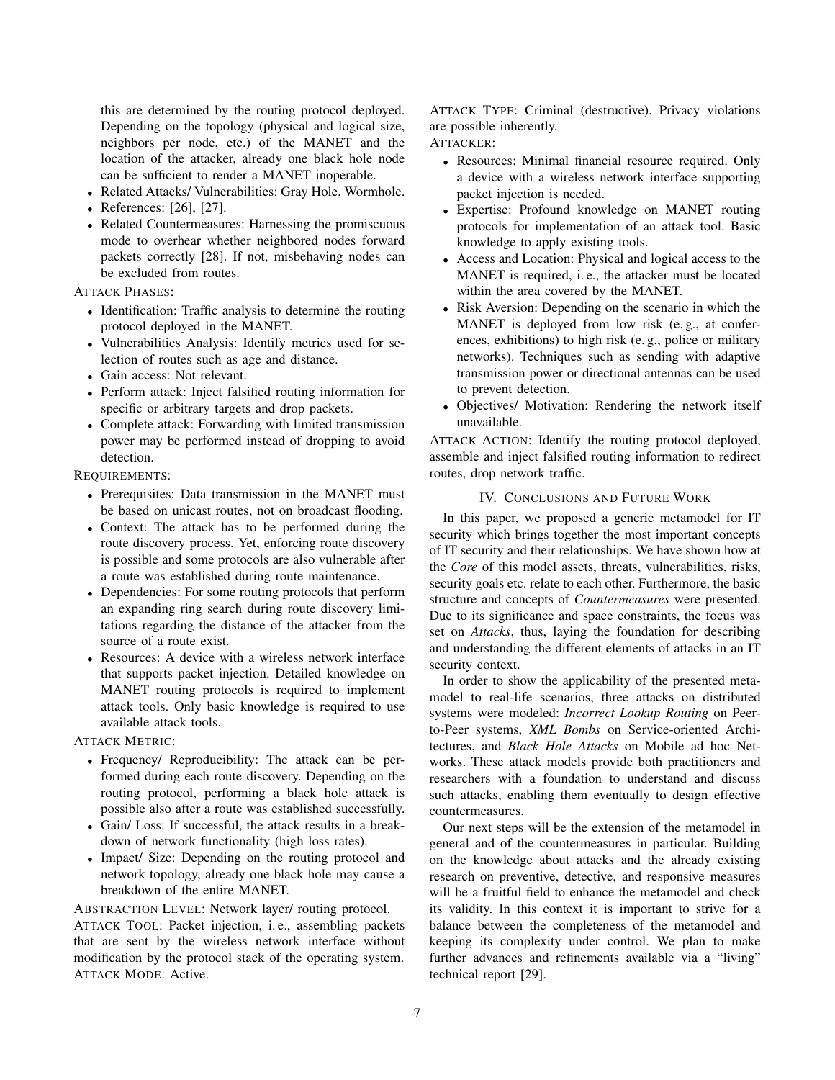this are determined by the routing protocol deployed. Depending on the topology (physical and logical size, neighbors per node, etc.) of the MANET and the location of the attacker, already one black hole node can be sufficient to render a MANET inoperable.

- Related Attacks/ Vulnerabilities: Gray Hole, Wormhole.
- References: [26], [27].
- Related Countermeasures: Harnessing the promiscuous mode to overhear whether neighbored nodes forward packets correctly [28]. If not, misbehaving nodes can be excluded from routes.

ATTACK PHASES:

- Identification: Traffic analysis to determine the routing protocol deployed in the MANET.
- Vulnerabilities Analysis: Identify metrics used for selection of routes such as age and distance.
- Gain access: Not relevant.
- Perform attack: Inject falsified routing information for specific or arbitrary targets and drop packets.
- Complete attack: Forwarding with limited transmission power may be performed instead of dropping to avoid detection.

REQUIREMENTS:

- Prerequisites: Data transmission in the MANET must be based on unicast routes, not on broadcast flooding.
- Context: The attack has to be performed during the route discovery process. Yet, enforcing route discovery is possible and some protocols are also vulnerable after a route was established during route maintenance.
- Dependencies: For some routing protocols that perform an expanding ring search during route discovery limitations regarding the distance of the attacker from the source of a route exist.
- Resources: A device with a wireless network interface that supports packet injection. Detailed knowledge on MANET routing protocols is required to implement attack tools. Only basic knowledge is required to use available attack tools.

ATTACK METRIC:

- Frequency/ Reproducibility: The attack can be performed during each route discovery. Depending on the routing protocol, performing a black hole attack is possible also after a route was established successfully.
- Gain/ Loss: If successful, the attack results in a breakdown of network functionality (high loss rates).
- Impact/ Size: Depending on the routing protocol and network topology, already one black hole may cause a breakdown of the entire MANET.

ABSTRACTION LEVEL: Network layer/ routing protocol. ATTACK TOOL: Packet injection, i. e., assembling packets that are sent by the wireless network interface without modification by the protocol stack of the operating system. ATTACK MODE: Active.

ATTACK TYPE: Criminal (destructive). Privacy violations are possible inherently.

ATTACKER:

- Resources: Minimal financial resource required. Only a device with a wireless network interface supporting packet injection is needed.
- Expertise: Profound knowledge on MANET routing protocols for implementation of an attack tool. Basic knowledge to apply existing tools.
- Access and Location: Physical and logical access to the MANET is required, i. e., the attacker must be located within the area covered by the MANET.
- Risk Aversion: Depending on the scenario in which the MANET is deployed from low risk (e. g., at conferences, exhibitions) to high risk (e. g., police or military networks). Techniques such as sending with adaptive transmission power or directional antennas can be used to prevent detection.
- Objectives/ Motivation: Rendering the network itself unavailable.

ATTACK ACTION: Identify the routing protocol deployed, assemble and inject falsified routing information to redirect routes, drop network traffic.

# IV. CONCLUSIONS AND FUTURE WORK

In this paper, we proposed a generic metamodel for IT security which brings together the most important concepts of IT security and their relationships. We have shown how at the *Core* of this model assets, threats, vulnerabilities, risks, security goals etc. relate to each other. Furthermore, the basic structure and concepts of *Countermeasures* were presented. Due to its significance and space constraints, the focus was set on *Attacks*, thus, laying the foundation for describing and understanding the different elements of attacks in an IT security context.

In order to show the applicability of the presented metamodel to real-life scenarios, three attacks on distributed systems were modeled: *Incorrect Lookup Routing* on Peerto-Peer systems, *XML Bombs* on Service-oriented Architectures, and *Black Hole Attacks* on Mobile ad hoc Networks. These attack models provide both practitioners and researchers with a foundation to understand and discuss such attacks, enabling them eventually to design effective countermeasures.

Our next steps will be the extension of the metamodel in general and of the countermeasures in particular. Building on the knowledge about attacks and the already existing research on preventive, detective, and responsive measures will be a fruitful field to enhance the metamodel and check its validity. In this context it is important to strive for a balance between the completeness of the metamodel and keeping its complexity under control. We plan to make further advances and refinements available via a "living" technical report [29].